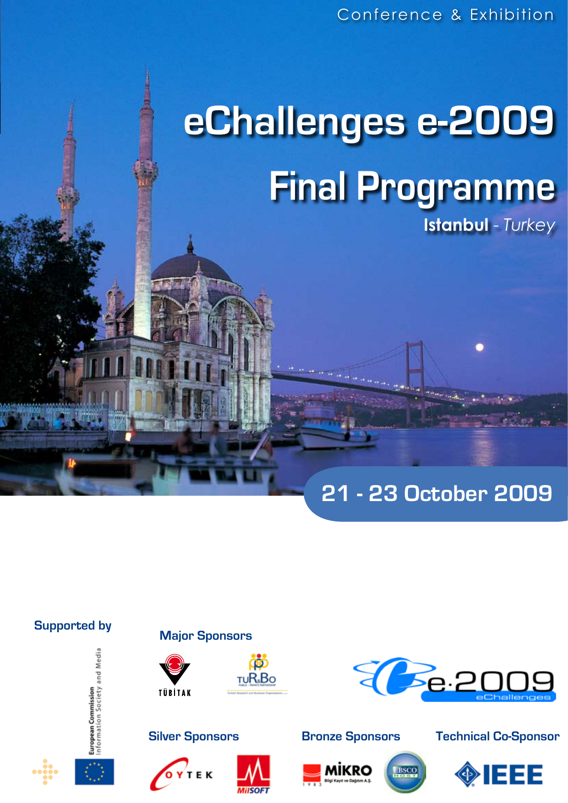# **eChallenges e-2009 Final Programme Istanbul** - *Turkey*

**21 - 23 October 2009**

# **Supported by Major Sponsors**









# **Silver Sponsors Bronze Sponsors**









# **Technical Co-Sponsor**

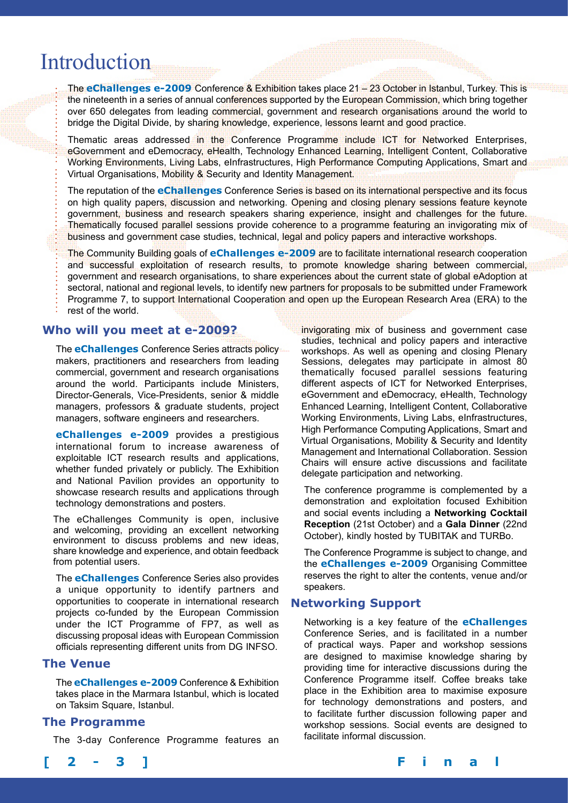# Introduction

The **eChallenges e-2009** Conference & Exhibition takes place 21 – 23 October in Istanbul, Turkey. This is the nineteenth in a series of annual conferences supported by the European Commission, which bring together over 650 delegates from leading commercial, government and research organisations around the world to bridge the Digital Divide, by sharing knowledge, experience, lessons learnt and good practice.

Thematic areas addressed in the Conference Programme include ICT for Networked Enterprises, eGovernment and eDemocracy, eHealth, Technology Enhanced Learning, Intelligent Content, Collaborative Working Environments, Living Labs, eInfrastructures, High Performance Computing Applications, Smart and Virtual Organisations, Mobility & Security and Identity Management.

The reputation of the **eChallenges** Conference Series is based on its international perspective and its focus on high quality papers, discussion and networking. Opening and closing plenary sessions feature keynote government, business and research speakers sharing experience, insight and challenges for the future. Thematically focused parallel sessions provide coherence to a programme featuring an invigorating mix of business and government case studies, technical, legal and policy papers and interactive workshops.

The Community Building goals of **eChallenges e-2009** are to facilitate international research cooperation and successful exploitation of research results, to promote knowledge sharing between commercial, government and research organisations, to share experiences about the current state of global eAdoption at sectoral, national and regional levels, to identify new partners for proposals to be submitted under Framework Programme 7, to support International Cooperation and open up the European Research Area (ERA) to the

rest of the world.

# **Who will you meet at e-2009?**

The **eChallenges** Conference Series attracts policy makers, practitioners and researchers from leading commercial, government and research organisations around the world. Participants include Ministers, Director-Generals, Vice-Presidents, senior & middle managers, professors & graduate students, project managers, software engineers and researchers.

**eChallenges e-2009** provides a prestigious international forum to increase awareness of exploitable ICT research results and applications, whether funded privately or publicly. The Exhibition and National Pavilion provides an opportunity to showcase research results and applications through technology demonstrations and posters.

The eChallenges Community is open, inclusive and welcoming, providing an excellent networking environment to discuss problems and new ideas, share knowledge and experience, and obtain feedback from potential users.

The **eChallenges** Conference Series also provides a unique opportunity to identify partners and opportunities to cooperate in international research projects co-funded by the European Commission under the ICT Programme of FP7, as well as discussing proposal ideas with European Commission officials representing different units from DG INFSO.

## **The Venue**

The **eChallenges e-2009** Conference & Exhibition takes place in the Marmara Istanbul, which is located on Taksim Square, Istanbul.

## **The Programme**

The 3-day Conference Programme features an

invigorating mix of business and government case studies, technical and policy papers and interactive workshops. As well as opening and closing Plenary Sessions, delegates may participate in almost 80 thematically focused parallel sessions featuring different aspects of ICT for Networked Enterprises, eGovernment and eDemocracy, eHealth, Technology Enhanced Learning, Intelligent Content, Collaborative Working Environments, Living Labs, eInfrastructures, High Performance Computing Applications, Smart and Virtual Organisations, Mobility & Security and Identity Management and International Collaboration. Session Chairs will ensure active discussions and facilitate delegate participation and networking.

The conference programme is complemented by a demonstration and exploitation focused Exhibition and social events including a **Networking Cocktail Reception** (21st October) and a **Gala Dinner** (22nd October), kindly hosted by TUBITAK and TURBo.

The Conference Programme is subject to change, and the **eChallenges e-2009** Organising Committee reserves the right to alter the contents, venue and/or speakers.

# **Networking Support**

Networking is a key feature of the **eChallenges** Conference Series, and is facilitated in a number of practical ways. Paper and workshop sessions are designed to maximise knowledge sharing by providing time for interactive discussions during the Conference Programme itself. Coffee breaks take place in the Exhibition area to maximise exposure for technology demonstrations and posters, and to facilitate further discussion following paper and workshop sessions. Social events are designed to facilitate informal discussion.

**[ 2 - 3 ] F i n a l P r o g r a m m e**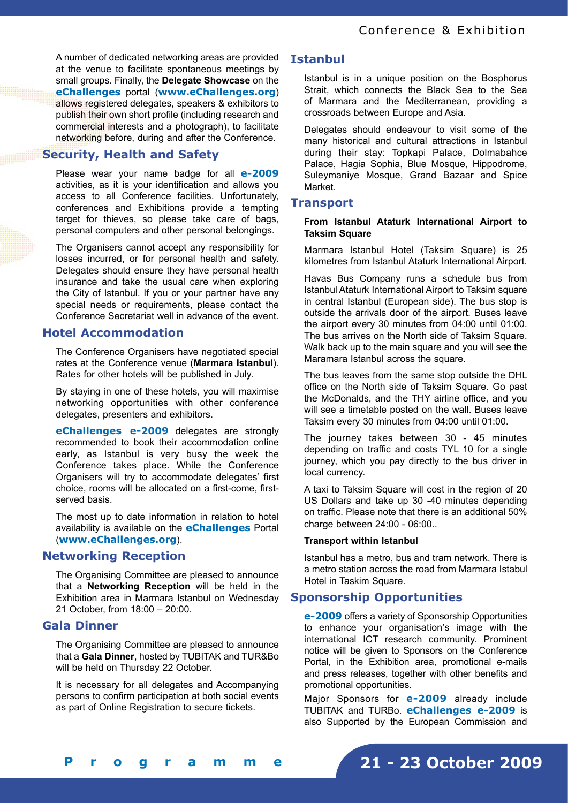A number of dedicated networking areas are provided at the venue to facilitate spontaneous meetings by small groups. Finally, the **Delegate Showcase** on the **eChallenges** portal (**www.eChallenges.org**) allows registered delegates, speakers & exhibitors to publish their own short profile (including research and commercial interests and a photograph), to facilitate networking before, during and after the Conference.

# **Security, Health and Safety**

Please wear your name badge for all **e-2009**  activities, as it is your identification and allows you access to all Conference facilities. Unfortunately, conferences and Exhibitions provide a tempting target for thieves, so please take care of bags, personal computers and other personal belongings.

The Organisers cannot accept any responsibility for losses incurred, or for personal health and safety. Delegates should ensure they have personal health insurance and take the usual care when exploring the City of Istanbul. If you or your partner have any special needs or requirements, please contact the Conference Secretariat well in advance of the event.

# **Hotel Accommodation**

The Conference Organisers have negotiated special rates at the Conference venue (**Marmara Istanbul**). Rates for other hotels will be published in July.

By staying in one of these hotels, you will maximise networking opportunities with other conference delegates, presenters and exhibitors.

**eChallenges e-2009** delegates are strongly recommended to book their accommodation online early, as Istanbul is very busy the week the Conference takes place. While the Conference Organisers will try to accommodate delegates' first choice, rooms will be allocated on a first-come, firstserved basis.

The most up to date information in relation to hotel availability is available on the **eChallenges** Portal (**www.eChallenges.org**).

## **Networking Reception**

The Organising Committee are pleased to announce that a **Networking Reception** will be held in the Exhibition area in Marmara Istanbul on Wednesday 21 October, from 18:00 – 20:00.

# **Gala Dinner**

The Organising Committee are pleased to announce that a **Gala Dinner**, hosted by TUBITAK and TUR&Bo will be held on Thursday 22 October.

It is necessary for all delegates and Accompanying persons to confirm participation at both social events as part of Online Registration to secure tickets.

# **Istanbul**

Istanbul is in a unique position on the Bosphorus Strait, which connects the Black Sea to the Sea of Marmara and the Mediterranean, providing a crossroads between Europe and Asia.

Delegates should endeavour to visit some of the many historical and cultural attractions in Istanbul during their stay: Topkapi Palace, Dolmabahce Palace, Hagia Sophia, Blue Mosque, Hippodrome, Suleymaniye Mosque, Grand Bazaar and Spice Market.

# **Transport**

### **From Istanbul Ataturk International Airport to Taksim Square**

Marmara Istanbul Hotel (Taksim Square) is 25 kilometres from Istanbul Ataturk International Airport.

Havas Bus Company runs a schedule bus from Istanbul Ataturk International Airport to Taksim square in central Istanbul (European side). The bus stop is outside the arrivals door of the airport. Buses leave the airport every 30 minutes from 04:00 until 01:00. The bus arrives on the North side of Taksim Square. Walk back up to the main square and you will see the Maramara Istanbul across the square.

The bus leaves from the same stop outside the DHL office on the North side of Taksim Square. Go past the McDonalds, and the THY airline office, and you will see a timetable posted on the wall. Buses leave Taksim every 30 minutes from 04:00 until 01:00.

The journey takes between 30 - 45 minutes depending on traffic and costs TYL 10 for a single journey, which you pay directly to the bus driver in local currency.

A taxi to Taksim Square will cost in the region of 20 US Dollars and take up 30 -40 minutes depending on traffic. Please note that there is an additional 50% charge between 24:00 - 06:00..

### **Transport within Istanbul**

Istanbul has a metro, bus and tram network. There is a metro station across the road from Marmara Istabul Hotel in Taskim Square.

# **Sponsorship Opportunities**

**e-2009** offers a variety of Sponsorship Opportunities to enhance your organisation's image with the international ICT research community. Prominent notice will be given to Sponsors on the Conference Portal, in the Exhibition area, promotional e-mails and press releases, together with other benefits and promotional opportunities.

Major Sponsors for **e-2009** already include TUBITAK and TURBo. **eChallenges e-2009** is also Supported by the European Commission and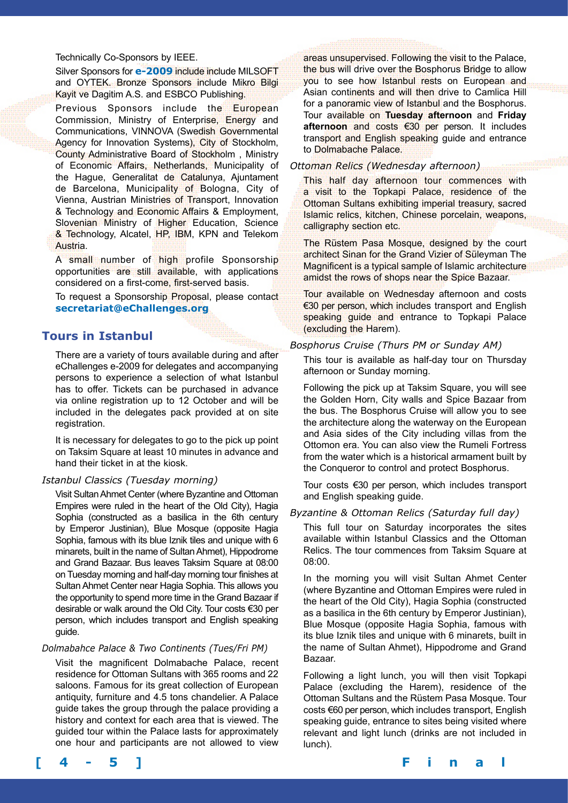Technically Co-Sponsors by IEEE.

Silver Sponsors for **e-2009** include include MILSOFT and OYTEK. Bronze Sponsors include Mikro Bilgi Kayit ve Dagitim A.S. and ESBCO Publishing.

Previous Sponsors include the European Commission, Ministry of Enterprise, Energy and Communications, VINNOVA (Swedish Governmental Agency for Innovation Systems), City of Stockholm, County Administrative Board of Stockholm , Ministry of Economic Affairs, Netherlands, Municipality of the Hague, Generalitat de Catalunya, Ajuntament de Barcelona, Municipality of Bologna, City of Vienna, Austrian Ministries of Transport, Innovation & Technology and Economic Affairs & Employment, Slovenian Ministry of Higher Education, Science & Technology, Alcatel, HP, IBM, KPN and Telekom Austria.

A small number of high profile Sponsorship opportunities are still available, with applications considered on a first-come, first-served basis.

To request a Sponsorship Proposal, please contact **secretariat@eChallenges.org**

# **Tours in Istanbul**

There are a variety of tours available during and after eChallenges e-2009 for delegates and accompanying persons to experience a selection of what Istanbul has to offer. Tickets can be purchased in advance via online registration up to 12 October and will be included in the delegates pack provided at on site registration.

It is necessary for delegates to go to the pick up point on Taksim Square at least 10 minutes in advance and hand their ticket in at the kiosk.

### *Istanbul Classics (Tuesday morning)*

Visit Sultan Ahmet Center (where Byzantine and Ottoman Empires were ruled in the heart of the Old City), Hagia Sophia (constructed as a basilica in the 6th century by Emperor Justinian), Blue Mosque (opposite Hagia Sophia, famous with its blue Iznik tiles and unique with 6 minarets, built in the name of Sultan Ahmet), Hippodrome and Grand Bazaar. Bus leaves Taksim Square at 08:00 on Tuesday morning and half-day morning tour finishes at Sultan Ahmet Center near Hagia Sophia. This allows you the opportunity to spend more time in the Grand Bazaar if desirable or walk around the Old City. Tour costs €30 per person, which includes transport and English speaking guide.

### *Dolmabahce Palace & Two Continents (Tues/Fri PM)*

Visit the magnificent Dolmabache Palace, recent residence for Ottoman Sultans with 365 rooms and 22 saloons. Famous for its great collection of European antiquity, furniture and 4.5 tons chandelier. A Palace guide takes the group through the palace providing a history and context for each area that is viewed. The guided tour within the Palace lasts for approximately one hour and participants are not allowed to view

areas unsupervised. Following the visit to the Palace, the bus will drive over the Bosphorus Bridge to allow you to see how Istanbul rests on European and Asian continents and will then drive to Camlica Hill for a panoramic view of Istanbul and the Bosphorus. Tour available on **Tuesday afternoon** and **Friday afternoon** and costs €30 per person. It includes transport and English speaking guide and entrance to Dolmabache Palace.

#### *Ottoman Relics (Wednesday afternoon)*

This half day afternoon tour commences with a visit to the Topkapi Palace, residence of the Ottoman Sultans exhibiting imperial treasury, sacred Islamic relics, kitchen, Chinese porcelain, weapons, calligraphy section etc.

The Rüstem Pasa Mosque, designed by the court architect Sinan for the Grand Vizier of Süleyman The Magnificent is a typical sample of Islamic architecture amidst the rows of shops near the Spice Bazaar.

Tour available on Wednesday afternoon and costs €30 per person, which includes transport and English speaking guide and entrance to Topkapi Palace (excluding the Harem).

## *Bosphorus Cruise (Thurs PM or Sunday AM)*

This tour is available as half-day tour on Thursday afternoon or Sunday morning.

Following the pick up at Taksim Square, you will see the Golden Horn, City walls and Spice Bazaar from the bus. The Bosphorus Cruise will allow you to see the architecture along the waterway on the European and Asia sides of the City including villas from the Ottomon era. You can also view the Rumeli Fortress from the water which is a historical armament built by the Conqueror to control and protect Bosphorus.

Tour costs €30 per person, which includes transport and English speaking guide.

### *Byzantine & Ottoman Relics (Saturday full day)*

This full tour on Saturday incorporates the sites available within Istanbul Classics and the Ottoman Relics. The tour commences from Taksim Square at 08:00.

In the morning you will visit Sultan Ahmet Center (where Byzantine and Ottoman Empires were ruled in the heart of the Old City), Hagia Sophia (constructed as a basilica in the 6th century by Emperor Justinian), Blue Mosque (opposite Hagia Sophia, famous with its blue Iznik tiles and unique with 6 minarets, built in the name of Sultan Ahmet), Hippodrome and Grand Bazaar.

Following a light lunch, you will then visit Topkapi Palace (excluding the Harem), residence of the Ottoman Sultans and the Rüstem Pasa Mosque. Tour costs €60 per person, which includes transport, English speaking guide, entrance to sites being visited where relevant and light lunch (drinks are not included in lunch).

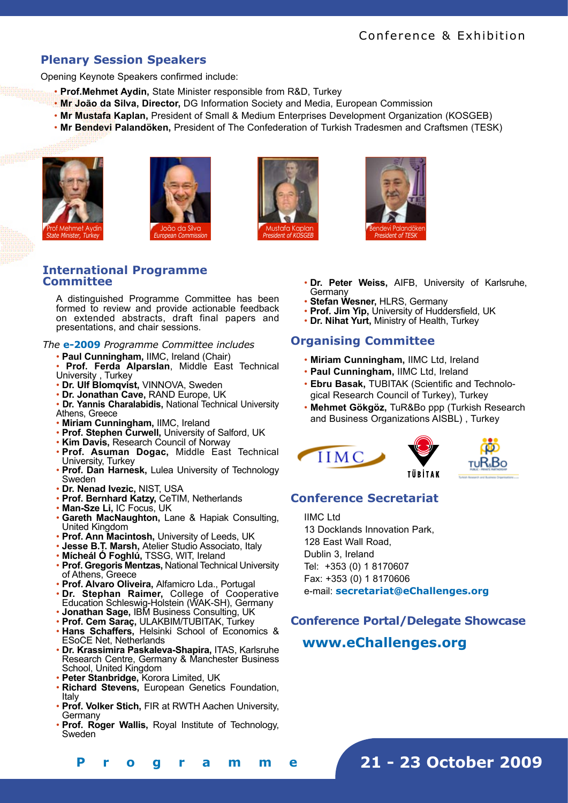# **Plenary Session Speakers**

Opening Keynote Speakers confirmed include:

- • **Prof.Mehmet Aydin,** State Minister responsible from R&D, Turkey
- • **Mr João da Silva, Director,** DG Information Society and Media, European Commission
- • **Mr Mustafa Kaplan,** President of Small & Medium Enterprises Development Organization (KOSGEB)
- • **Mr Bendevi Palandöken,** President of The Confederation of Turkish Tradesmen and Craftsmen (TESK)









## **International Programme Committee**

A distinguished Programme Committee has been formed to review and provide actionable feedback on extended abstracts, draft final papers and presentations, and chair sessions.

### *The* **e-2009** *Programme Committee includes*

• **Paul Cunningham,** IIMC, Ireland (Chair)

• **Prof. Ferda Alparslan**, Middle East Technical University , Turkey

- **Dr. Ulf Blomqvist,** VINNOVA, Sweden
- **Dr. Jonathan Cave,** RAND Europe, UK
- **Dr. Yannis Charalabidis,** National Technical University Athens, Greece
- **Miriam Cunningham,** IIMC, Ireland
- **Prof. Stephen Curwell,** University of Salford, UK
- **Kim Davis,** Research Council of Norway
- **Prof. Asuman Dogac,** Middle East Technical University, Turkey
- **Prof. Dan Harnesk,** Lulea University of Technology Sweden
- **Dr. Nenad Ivezic,** NIST, USA
- **Prof. Bernhard Katzy,** CeTIM, Netherlands
- **Man-Sze Li,** IC Focus, UK
- **Gareth MacNaughton,** Lane & Hapiak Consulting, United Kingdom
- **Prof. Ann Macintosh,** University of Leeds, UK
- **Jesse B.T. Marsh,** Atelier Studio Associato, Italy
- **Mícheál Ó Foghlú,** TSSG, WIT, Ireland
- **Prof. Gregoris Mentzas,** National Technical University of Athens, Greece
- **Prof. Alvaro Oliveira,** Alfamicro Lda., Portugal
- **Dr. Stephan Raimer,** College of Cooperative
- Education Schleswig-Holstein (WAK-SH), Germany • **Jonathan Sage,** IBM Business Consulting, UK
- **Prof. Cem Saraç,** ULAKBIM/TUBITAK, Turkey
- **Hans Schaffers,** Helsinki School of Economics & ESoCE Net, Netherlands
- **Dr. Krassimira Paskaleva-Shapira,** ITAS, Karlsruhe Research Centre, Germany & Manchester Business School, United Kingdom
- **Peter Stanbridge,** Korora Limited, UK
- **Richard Stevens,** European Genetics Foundation, Italy
- **Prof. Volker Stich,** FIR at RWTH Aachen University, Germany
- **Prof. Roger Wallis,** Royal Institute of Technology, Sweden
- **Dr. Peter Weiss,** AIFB, University of Karlsruhe, **Germany**
- **Stefan Wesner,** HLRS, Germany
- **Prof. Jim Yip,** University of Huddersfield, UK
- **Dr. Nihat Yurt,** Ministry of Health, Turkey

# **Organising Committee**

- **Miriam Cunningham,** IIMC Ltd, Ireland
- **Paul Cunningham,** IIMC Ltd, Ireland
- **Ebru Basak,** TUBITAK (Scientific and Technological Research Council of Turkey), Turkey
- **Mehmet Gökgöz,** TuR&Bo ppp (Turkish Research and Business Organizations AISBL) , Turkey





# **Conference Secretariat**

IIMC Ltd

13 Docklands Innovation Park, 128 East Wall Road, Dublin 3, Ireland Tel: +353 (0) 1 8170607 Fax: +353 (0) 1 8170606 e-mail: **secretariat@eChallenges.org**

# **Conference Portal/Delegate Showcase**

# **www.eChallenges.org**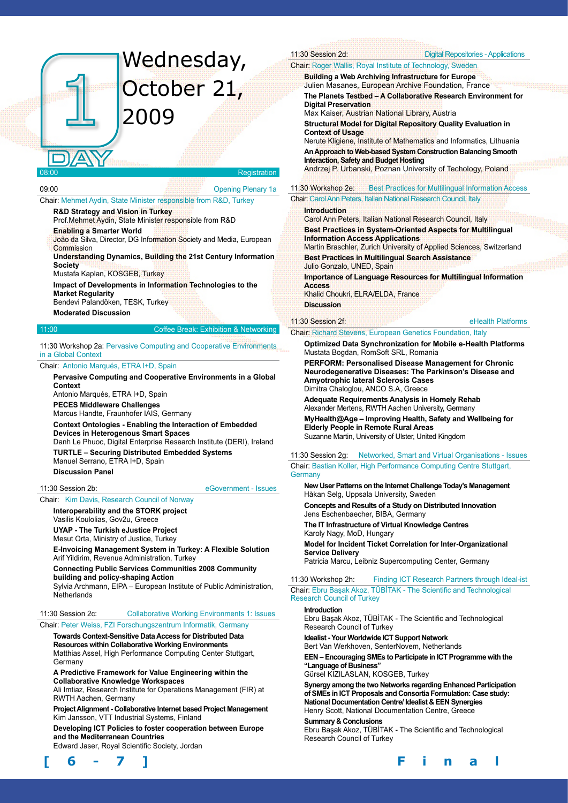# Wednesday, October 21, 2009

#### Registration

09:00 Opening Plenary 1a

Chair: Mehmet Aydin, State Minister responsible from R&D, Turkey

#### **R&D Strategy and Vision in Turkey**

Prof.Mehmet Aydin, State Minister responsible from R&D

**Enabling a Smarter World**

João da Silva, Director, DG Information Society and Media, European **Commission** 

**Understanding Dynamics, Building the 21st Century Information Society** 

Mustafa Kaplan, KOSGEB, Turkey

**Impact of Developments in Information Technologies to the Market Regularity** 

Bendevi Palandöken, TESK, Turkey

#### **Moderated Discussion**

#### 11:00 Coffee Break: Exhibition & Networking

#### 11:30 Workshop 2a: Pervasive Computing and Cooperative Environments in a Global Context

#### Chair: Antonio Marqués, ETRA I+D, Spain

**Pervasive Computing and Cooperative Environments in a Global Context** Antonio Marqués, ETRA I+D, Spain **PECES Middleware Challenges** Marcus Handte, Fraunhofer IAIS, Germany **Context Ontologies - Enabling the Interaction of Embedded Devices in Heterogenous Smart Spaces**  Danh Le Phuoc, Digital Enterprise Research Institute (DERI), Ireland **TURTLE – Securing Distributed Embedded Systems** Manuel Serrano, ETRA I+D, Spain

#### **Discussion Panel**

11:30 Session 2b: eGovernment - Issues

## Chair: Kim Davis, Research Council of Norway

**Interoperability and the STORK project** Vasilis Koulolias, Gov2u, Greece

**UYAP - The Turkish eJustice Project**

Mesut Orta, Ministry of Justice, Turkey

**E-Invoicing Management System in Turkey: A Flexible Solution**  Arif Yildirim, Revenue Administration, Turkey

**Connecting Public Services Communities 2008 Community building and policy-shaping Action** Sylvia Archmann, EIPA – European Institute of Public Administration,

**Netherlands** 

# 11:30 Session 2c: Collaborative Working Environments 1: Issues

#### Chair: Peter Weiss, FZI Forschungszentrum Informatik, Germany

**Towards Context-Sensitive Data Access for Distributed Data Resources within Collaborative Working Environments** Matthias Assel, High Performance Computing Center Stuttgart, **Germany** 

**A Predictive Framework for Value Engineering within the Collaborative Knowledge Workspaces** 

Ali Imtiaz, Research Institute for Operations Management (FIR) at RWTH Aachen, Germany

**Project Alignment - Collaborative Internet based Project Management**  Kim Jansson, VTT Industrial Systems, Finland

**Developing ICT Policies to foster cooperation between Europe and the Mediterranean Countries**

Edward Jaser, Royal Scientific Society, Jordan



Chair: Roger Wallis, Royal Institute of Technology, Sweden **Building a Web Archiving Infrastructure for Europe** Julien Masanes, European Archive Foundation, France **The Planets Testbed – A Collaborative Research Environment for Digital Preservation** Max Kaiser, Austrian National Library, Austria **Structural Model for Digital Repository Quality Evaluation in Context of Usage** Nerute Kligiene, Institute of Mathematics and Informatics, Lithuania **An Approach to Web-based System Construction Balancing Smooth Interaction, Safety and Budget Hosting** Andrzej P. Urbanski, Poznan University of Techology, Poland 11:30 Workshop 2e: Best Practices for Multilingual Information Access Chair: Carol Ann Peters, Italian National Research Council, Italy **Introduction**  Carol Ann Peters, Italian National Research Council, Italy **Best Practices in System-Oriented Aspects for Multilingual Information Access Applications** Martin Braschler, Zurich University of Applied Sciences, Switzerland **Best Practices in Multilingual Search Assistance** Julio Gonzalo, UNED, Spain **Importance of Language Resources for Multilingual Information Access**

11:30 Session 2d: Digital Repositories - Applications

Khalid Choukri, ELRA/ELDA, France **Discussion**

## 11:30 Session 2f: eHealth Platforms

#### Chair: Richard Stevens, European Genetics Foundation, Italy

**Optimized Data Synchronization for Mobile e-Health Platforms** Mustata Bogdan, RomSoft SRL, Romania

**PERFORM: Personalised Disease Management for Chronic Neurodegenerative Diseases: The Parkinson's Disease and Amyotrophic lateral Sclerosis Cases** Dimitra Chaloglou, ANCO S.A, Greece

**Adequate Requirements Analysis in Homely Rehab** Alexander Mertens, RWTH Aachen University, Germany

**MyHealth@Age – Improving Health, Safety and Wellbeing for Elderly People in Remote Rural Areas** Suzanne Martin, University of Ulster, United Kingdom

11:30 Session 2g: Networked, Smart and Virtual Organisations - Issues Chair: Bastian Koller, High Performance Computing Centre Stuttgart, **Germany** 

**New User Patterns on the Internet Challenge Today's Management** Håkan Selg, Uppsala University, Sweden

**Concepts and Results of a Study on Distributed Innovation** Jens Eschenbaecher, BIBA, Germany

**The IT Infrastructure of Virtual Knowledge Centres** Karoly Nagy, MoD, Hungary

**Model for Incident Ticket Correlation for Inter-Organizational Service Delivery**

Patricia Marcu, Leibniz Supercomputing Center, Germany

11:30 Workshop 2h: Finding ICT Research Partners through Ideal-ist Chair: Ebru Başak Akoz, TÜBİTAK - The Scientific and Technological Research Council of Turkey

#### **Introduction**

Ebru Başak Akoz, TÜBİTAK - The Scientific and Technological Research Council of Turkey

**Idealist - Your Worldwide ICT Support Network**

Bert Van Werkhoven, SenterNovem, Netherlands

**EEN – Encouraging SMEs to Participate in ICT Programme with the "Language of Business"**

Gürsel KIZILASLAN, KOSGEB, Turkey

**Synergy among the two Networks regarding Enhanced Participation of SMEs in ICT Proposals and Consortia Formulation: Case study: National Documentation Centre/ Idealist & EEN Synergies** Henry Scott, National Documentation Centre, Greece

**Summary & Conclusions**

Ebru Başak Akoz, TÜBİTAK - The Scientific and Technological Research Council of Turkey

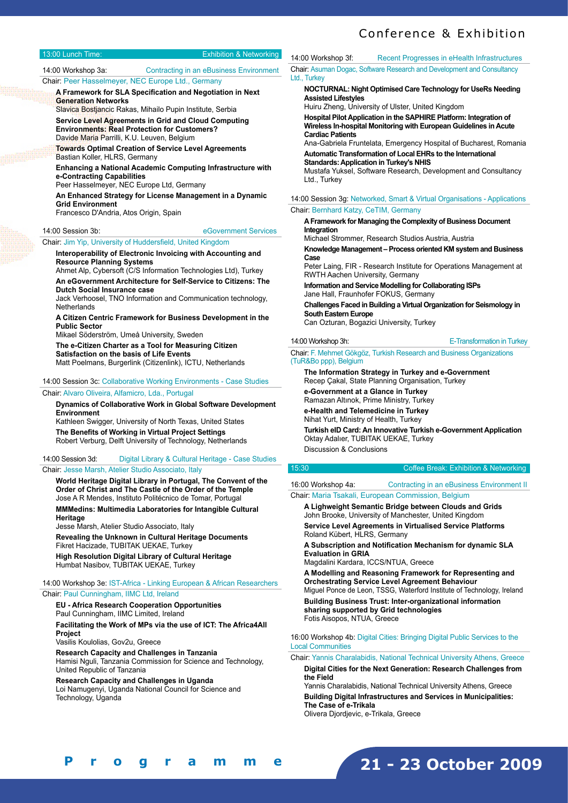| 13:00 Lunch Time:                                                                                                                                                                                                                                                                                                                                                                                                                                                                                                                                                   | <b>Exhibition &amp; Networking</b>                                                           | 14:00 Workshop 3f:                                                                                                                                                                                                                                                                                                                                                                                                                                                                                                                                                                                                                                                                                                                                                                                 | Recent Progresses in eHealth Infrastructures                           |  |                                                         |  |                                                     |
|---------------------------------------------------------------------------------------------------------------------------------------------------------------------------------------------------------------------------------------------------------------------------------------------------------------------------------------------------------------------------------------------------------------------------------------------------------------------------------------------------------------------------------------------------------------------|----------------------------------------------------------------------------------------------|----------------------------------------------------------------------------------------------------------------------------------------------------------------------------------------------------------------------------------------------------------------------------------------------------------------------------------------------------------------------------------------------------------------------------------------------------------------------------------------------------------------------------------------------------------------------------------------------------------------------------------------------------------------------------------------------------------------------------------------------------------------------------------------------------|------------------------------------------------------------------------|--|---------------------------------------------------------|--|-----------------------------------------------------|
| 14:00 Workshop 3a:                                                                                                                                                                                                                                                                                                                                                                                                                                                                                                                                                  | Contracting in an eBusiness Environment<br>Chair: Peer Hasselmeyer, NEC Europe Ltd., Germany | Ltd., Turkey                                                                                                                                                                                                                                                                                                                                                                                                                                                                                                                                                                                                                                                                                                                                                                                       | Chair: Asuman Dogac, Software Research and Development and Consultancy |  |                                                         |  |                                                     |
| A Framework for SLA Specification and Negotiation in Next<br><b>Generation Networks</b><br>Slavica Bostjancic Rakas, Mihailo Pupin Institute, Serbia<br>Service Level Agreements in Grid and Cloud Computing<br><b>Environments: Real Protection for Customers?</b><br>Davide Maria Parrilli, K.U. Leuven, Belgium<br><b>Towards Optimal Creation of Service Level Agreements</b><br>Bastian Koller, HLRS, Germany<br><b>Enhancing a National Academic Computing Infrastructure with</b><br>e-Contracting Capabilities<br>Peer Hasselmeyer, NEC Europe Ltd, Germany |                                                                                              | NOCTURNAL: Night Optimised Care Technology for UseRs Needing<br><b>Assisted Lifestyles</b><br>Huiru Zheng, University of Ulster, United Kingdom<br>Hospital Pilot Application in the SAPHIRE Platform: Integration of<br>Wireless In-hospital Monitoring with European Guidelines in Acute<br><b>Cardiac Patients</b><br>Ana-Gabriela Fruntelata, Emergency Hospital of Bucharest, Romania<br>Automatic Transformation of Local EHRs to the International<br><b>Standards: Application in Turkey's NHIS</b><br>Mustafa Yuksel, Software Research, Development and Consultancy<br>Ltd., Turkey<br>14:00 Session 3q: Networked, Smart & Virtual Organisations - Applications<br>Chair: Bernhard Katzy, CeTIM, Germany<br>A Framework for Managing the Complexity of Business Document<br>Integration |                                                                        |  |                                                         |  |                                                     |
| An Enhanced Strategy for License Management in a Dynamic<br><b>Grid Environment</b><br>Francesco D'Andria, Atos Origin, Spain<br>eGovernment Services<br>14:00 Session 3b:                                                                                                                                                                                                                                                                                                                                                                                          |                                                                                              |                                                                                                                                                                                                                                                                                                                                                                                                                                                                                                                                                                                                                                                                                                                                                                                                    |                                                                        |  |                                                         |  |                                                     |
|                                                                                                                                                                                                                                                                                                                                                                                                                                                                                                                                                                     |                                                                                              |                                                                                                                                                                                                                                                                                                                                                                                                                                                                                                                                                                                                                                                                                                                                                                                                    |                                                                        |  | Chair Jim Vin Hniversity of Huddersfield Hnited Kingdom |  | Michael Strommer, Research Studios Austria, Austria |

**Knowledge Management – Process oriented KM system and Business Case** 

Peter Laing, FIR - Research Institute for Operations Management at RWTH Aachen University, Germany

**Information and Service Modelling for Collaborating ISPs**  Jane Hall, Fraunhofer FOKUS, Germany

**Challenges Faced in Building a Virtual Organization for Seismology in South Eastern Europe**  Can Ozturan, Bogazici University, Turkey

#### 14:00 Workshop 3h: E-Transformation in Turkey

Chair: F. Mehmet Gökgöz, Turkish Research and Business Organizations (TuR&Bo ppp), Belgium

**The Information Strategy in Turkey and e-Government**  Recep Çakal, State Planning Organisation, Turkey

**e-Government at a Glance in Turkey** 

Ramazan Altınok, Prime Ministry, Turkey **e-Health and Telemedicine in Turkey** 

Nihat Yurt, Ministry of Health, Turkey

**Turkish eID Card: An Innovative Turkish e-Government Application** 

# 15:30 Coffee Break: Exhibition & Networking

16:00 Workshop 4a: Contracting in an eBusiness Environment II Chair: Maria Tsakali, European Commission, Belgium

**A Lighweight Semantic Bridge between Clouds and Grids**  John Brooke, University of Manchester, United Kingdom **Service Level Agreements in Virtualised Service Platforms** 

Roland Kübert, HLRS, Germany

**A Subscription and Notification Mechanism for dynamic SLA Evaluation in GRIA** 

Magdalini Kardara, ICCS/NTUA, Greece

**A Modelling and Reasoning Framework for Representing and Orchestrating Service Level Agreement Behaviour**  Miguel Ponce de Leon, TSSG, Waterford Institute of Technology, Ireland **Building Business Trust: Inter-organizational information sharing supported by Grid technologies**  Fotis Aisopos, NTUA, Greece

16:00 Workshop 4b: Digital Cities: Bringing Digital Public Services to the Local Communities

Chair: Yannis Charalabidis, National Technical University Athens, Greece **Digital Cities for the Next Generation: Research Challenges from the Field** 

Yannis Charalabidis, National Technical University Athens, Greece **Building Digital Infrastructures and Services in Municipalities:** 

**The Case of e-Trikala** 

Olivera Djordjevic, e-Trikala, Greece

# Loi Namugenyi, Uganda National Council for Science and Technology, Uganda

**[ 6 - 7 ] F i n a l P r o g r a m m e**

**21 - 23 October 2009**

Oktay Adalıer, TUBITAK UEKAE, Turkey Discussion & Conclusions

Chair: Jim Yip, University of Huddersfield, United Kingdom

**Interoperability of Electronic Invoicing with Accounting and Resource Planning Systems** 

Ahmet Alp, Cybersoft (C/S Information Technologies Ltd), Turkey **An eGovernment Architecture for Self-Service to Citizens: The** 

**Dutch Social Insurance case**  Jack Verhoosel, TNO Information and Communication technology, **Netherlands** 

**A Citizen Centric Framework for Business Development in the Public Sector** 

Mikael Söderström, Umeå University, Sweden

**The e-Citizen Charter as a Tool for Measuring Citizen Satisfaction on the basis of Life Events** 

Matt Poelmans, Burgerlink (Citizenlink), ICTU, Netherlands

14:00 Session 3c: Collaborative Working Environments - Case Studies

#### Chair: Alvaro Oliveira, Alfamicro, Lda., Portugal

**Dynamics of Collaborative Work in Global Software Development Environment** 

Kathleen Swigger, University of North Texas, United States **The Benefits of Working in Virtual Project Settings**  Robert Verburg, Delft University of Technology, Netherlands

14:00 Session 3d: Digital Library & Cultural Heritage - Case Studies Chair: Jesse Marsh, Atelier Studio Associato, Italy

**World Heritage Digital Library in Portugal, The Convent of the Order of Christ and The Castle of the Order of the Temple**  Jose A R Mendes, Instituto Politécnico de Tomar, Portugal

**MMMedins: Multimedia Laboratories for Intangible Cultural Heritage** 

Jesse Marsh, Atelier Studio Associato, Italy

**Revealing the Unknown in Cultural Heritage Documents**  Fikret Hacizade, TUBITAK UEKAE, Turkey **High Resolution Digital Library of Cultural Heritage** 

Humbat Nasibov, TUBITAK UEKAE, Turkey

#### 14:00 Workshop 3e: IST-Africa - Linking European & African Researchers Chair: Paul Cunningham, IIMC Ltd, Ireland

**EU - Africa Research Cooperation Opportunities** 

Paul Cunningham, IIMC Limited, Ireland **Facilitating the Work of MPs via the use of ICT: The Africa4All Project** 

Vasilis Koulolias, Gov2u, Greece

**Research Capacity and Challenges in Tanzania**  Hamisi Nguli, Tanzania Commission for Science and Technology, United Republic of Tanzania

**Research Capacity and Challenges in Uganda**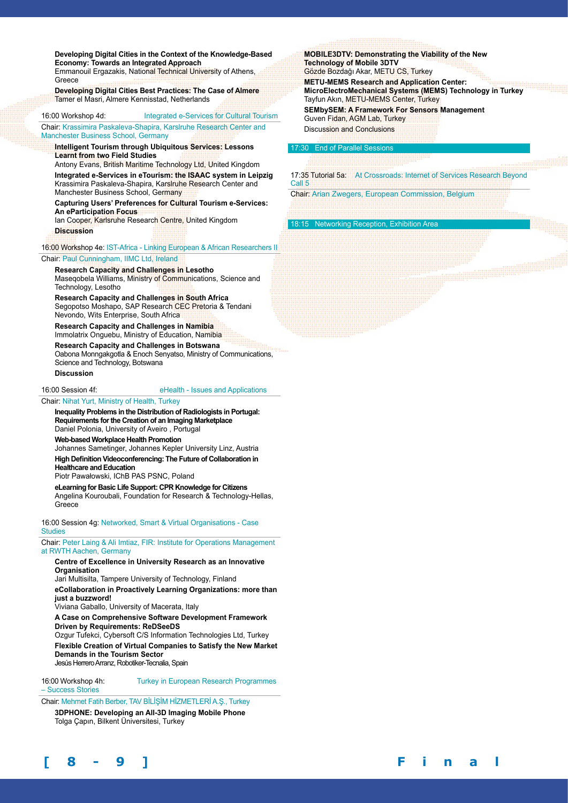**Developing Digital Cities in the Context of the Knowledge-Based Economy: Towards an Integrated Approach**  Emmanouil Ergazakis, National Technical University of Athens, Greece

**Developing Digital Cities Best Practices: The Case of Almere**  Tamer el Masri, Almere Kennisstad, Netherlands

#### 16:00 Workshop 4d: Integrated e-Services for Cultural Tourism

Chair: Krassimira Paskaleva-Shapira, Karslruhe Research Center and Manchester Business School, Germany

**Intelligent Tourism through Ubiquitous Services: Lessons Learnt from two Field Studies** 

Antony Evans, British Maritime Technology Ltd, United Kingdom **Integrated e-Services in eTourism: the ISAAC system in Leipzig**  Krassimira Paskaleva-Shapira, Karslruhe Research Center and Manchester Business School, Germany

**Capturing Users' Preferences for Cultural Tourism e-Services: An eParticipation Focus** 

Ian Cooper, Karlsruhe Research Centre, United Kingdom **Discussion**

16:00 Workshop 4e: IST-Africa - Linking European & African Researchers II

Chair: Paul Cunningham, IIMC Ltd, Ireland

# **Research Capacity and Challenges in Lesotho**

Maseqobela Williams, Ministry of Communications, Science and Technology, Lesotho

**Research Capacity and Challenges in South Africa**  Segopotso Moshapo, SAP Research CEC Pretoria & Tendani Nevondo, Wits Enterprise, South Africa

**Research Capacity and Challenges in Namibia** Immolatrix Onguebu, Ministry of Education, Namibia

**Research Capacity and Challenges in Botswana** Oabona Monngakgotla & Enoch Senyatso, Ministry of Communications,

Science and Technology, Botswana **Discussion**

16:00 Session 4f: eHealth - Issues and Applications

Chair: Nihat Yurt, Ministry of Health, Turkey

**Inequality Problems in the Distribution of Radiologists in Portugal: Requirements for the Creation of an Imaging Marketplace**  Daniel Polonia, University of Aveiro , Portugal

**Web-based Workplace Health Promotion** 

Johannes Sametinger, Johannes Kepler University Linz, Austria **High Definition Videoconferencing: The Future of Collaboration in** 

**Healthcare and Education** 

Piotr Pawałowski, IChB PAS PSNC, Poland

**eLearning for Basic Life Support: CPR Knowledge for Citizens**  Angelina Kouroubali, Foundation for Research & Technology-Hellas, Greece

16:00 Session 4g: Networked, Smart & Virtual Organisations - Case **Studies** 

Chair: Peter Laing & Ali Imtiaz, FIR: Institute for Operations Management at RWTH Aachen, Germany

#### **Centre of Excellence in University Research as an Innovative Organisation**

Jari Multisilta, Tampere University of Technology, Finland

**eCollaboration in Proactively Learning Organizations: more than just a buzzword!** 

Viviana Gaballo, University of Macerata, Italy

**A Case on Comprehensive Software Development Framework Driven by Requirements: ReDSeeDS** 

Ozgur Tufekci, Cybersoft C/S Information Technologies Ltd, Turkey **Flexible Creation of Virtual Companies to Satisfy the New Market Demands in the Tourism Sector**  Jesús Herrero Arranz, Robotiker-Tecnalia, Spain

16:00 Workshop 4h: Turkey in European Research Programmes

– Success Stories

Chair: Mehmet Fatih Berber, TAV BİLİŞİM HİZMETLERİ A.Ş., Turkey **3DPHONE: Developing an All-3D Imaging Mobile Phone** 

Tolga Çapın, Bilkent Üniversitesi, Turkey



**MOBILE3DTV: Demonstrating the Viability of the New Technology of Mobile 3DTV**  Gözde Bozdağı Akar, METU CS, Turkey

**METU-MEMS Research and Application Center: MicroElectroMechanical Systems (MEMS) Technology in Turkey**  Tayfun Akın, METU-MEMS Center, Turkey

**SEMbySEM: A Framework For Sensors Management**  Guven Fidan, AGM Lab, Turkey Discussion and Conclusions

#### $17:30$  End of Parallel

17:35 Tutorial 5a: At Crossroads: Internet of Services Research Beyond Call 5

Chair: Arian Zwegers, European Commission, Belgium

18:15 Networking Reception, Exhibition Area

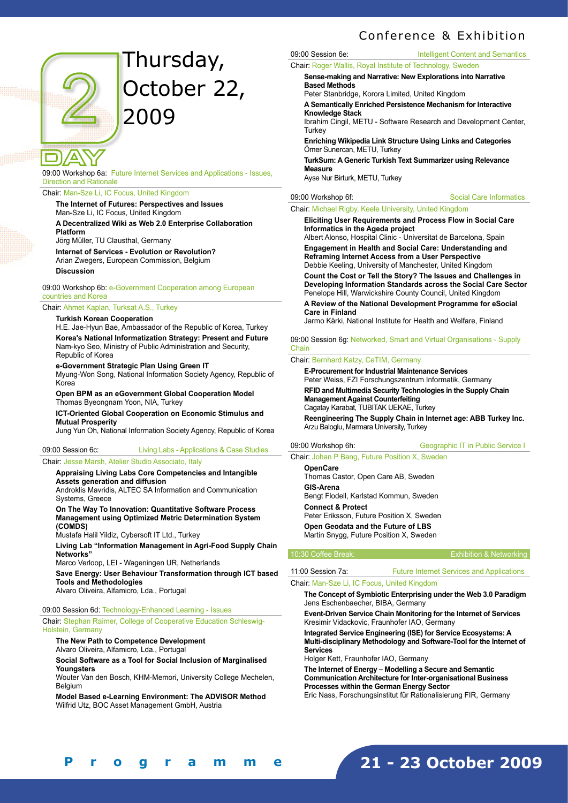

# Thursday, October 22, 2009

09:00 Workshop 6a: Future Internet Services and Applications - Issues, Direction and Rationale

Chair: Man-Sze Li, IC Focus, United Kingdom

#### **The Internet of Futures: Perspectives and Issues**  Man-Sze Li, IC Focus, United Kingdom

**A Decentralized Wiki as Web 2.0 Enterprise Collaboration Platform** 

Jörg Müller, TU Clausthal, Germany

**Internet of Services - Evolution or Revolution?**  Arian Zwegers, European Commission, Belgium **Discussion**

09:00 Workshop 6b: e-Government Cooperation among European countries and Korea

## Chair: Ahmet Kaplan, Turksat A.S., Turkey

**Turkish Korean Cooperation** 

H.E. Jae-Hyun Bae, Ambassador of the Republic of Korea, Turkey **Korea's National Informatization Strategy: Present and Future**  Nam-kyo Seo, Ministry of Public Administration and Security, Republic of Korea

**e-Government Strategic Plan Using Green IT** 

Myung-Won Song, National Information Society Agency, Republic of Korea

**Open BPM as an eGovernment Global Cooperation Model**  Thomas Byeongnam Yoon, NIA, Turkey

#### **ICT-Oriented Global Cooperation on Economic Stimulus and Mutual Prosperity**

Jung Yun Oh, National Information Society Agency, Republic of Korea

09:00 Session 6c: Living Labs - Applications & Case Studies

#### Chair: Jesse Marsh, Atelier Studio Associato, Italy

#### **Appraising Living Labs Core Competencies and Intangible Assets generation and diffusion**

Androklis Mavridis, ALTEC SA Information and Communication Systems, Greece

**On The Way To Innovation: Quantitative Software Process Management using Optimized Metric Determination System (COMDS)** 

Mustafa Halil Yildiz, Cybersoft IT Ltd., Turkey

**Living Lab "Information Management in Agri-Food Supply Chain Networks"** 

Marco Verloop, LEI - Wageningen UR, Netherlands

**Save Energy: User Behaviour Transformation through ICT based Tools and Methodologies**  Alvaro Oliveira, Alfamicro, Lda., Portugal

#### 09:00 Session 6d: Technology-Enhanced Learning - Issues

Chair: Stephan Raimer, College of Cooperative Education Schleswig-Holstein, Germany

**The New Path to Competence Development**  Alvaro Oliveira, Alfamicro, Lda., Portugal

**Social Software as a Tool for Social Inclusion of Marginalised Youngsters** 

Wouter Van den Bosch, KHM-Memori, University College Mechelen, **Belgium** 

**Model Based e-Learning Environment: The ADVISOR Method**  Wilfrid Utz, BOC Asset Management GmbH, Austria

09:00 Session 6e: Intelligent Content and Semantics

Chair: Roger Wallis, Royal Institute of Technology, Sweden

**Sense-making and Narrative: New Explorations into Narrative Based Methods** 

Peter Stanbridge, Korora Limited, United Kingdom

**A Semantically Enriched Persistence Mechanism for Interactive Knowledge Stack** 

Ibrahim Cingil, METU - Software Research and Development Center, **Turkey** 

**Enriching Wikipedia Link Structure Using Links and Categories**  Ömer Sunercan, METU, Turkey

**TurkSum: A Generic Turkish Text Summarizer using Relevance Measure** 

Ayse Nur Birturk, METU, Turkey

#### 09:00 Workshop 6f: Social Care Informatics

#### Chair: Michael Rigby, Keele University, United Kingdom

**Eliciting User Requirements and Process Flow in Social Care Informatics in the Ageda project** 

Albert Alonso, Hospital Clinic - Universitat de Barcelona, Spain **Engagement in Health and Social Care: Understanding and Reframing Internet Access from a User Perspective** 

Debbie Keeling, University of Manchester, United Kingdom

**Count the Cost or Tell the Story? The Issues and Challenges in Developing Information Standards across the Social Care Sector**  Penelope Hill, Warwickshire County Council, United Kingdom

**A Review of the National Development Programme for eSocial Care in Finland** 

Jarmo Kärki, National Institute for Health and Welfare, Finland

09:00 Session 6g: Networked, Smart and Virtual Organisations - Supply Chain

#### Chair: Bernhard Katzy, CeTIM, Germany

**E-Procurement for Industrial Maintenance Services**  Peter Weiss, FZI Forschungszentrum Informatik, Germany **RFID and Multimedia Security Technologies in the Supply Chain Management Against Counterfeiting**  Cagatay Karabat, TUBITAK UEKAE, Turkey **Reengineering The Supply Chain in Internet age: ABB Turkey Inc.**  Arzu Baloglu, Marmara University, Turkey

09:00 Workshop 6h: Geographic IT in Public Service I

Chair: Johan P Bang, Future Position X, Sweden

**OpenCare**  Thomas Castor, Open Care AB, Sweden **GIS-Arena**  Bengt Flodell, Karlstad Kommun, Sweden **Connect & Protect**  Peter Eriksson, Future Position X, Sweden **Open Geodata and the Future of LBS**  Martin Snygg, Future Position X, Sweden

#### 10:30 Coffee Break: Exhibition & Networking

#### 11:00 Session 7a: Future Internet Services and Applications Chair: Man-Sze Li, IC Focus, United Kingdom

#### **The Concept of Symbiotic Enterprising under the Web 3.0 Paradigm**  Jens Eschenbaecher, BIBA, Germany

**Event-Driven Service Chain Monitoring for the Internet of Services**  Kresimir Vidackovic, Fraunhofer IAO, Germany

**Integrated Service Engineering (ISE) for Service Ecosystems: A Multi-disciplinary Methodology and Software-Tool for the Internet of Services** 

Holger Kett, Fraunhofer IAO, Germany

**The Internet of Energy – Modelling a Secure and Semantic Communication Architecture for Inter-organisational Business Processes within the German Energy Sector** Eric Nass, Forschungsinstitut für Rationalisierung FIR, Germany

**21 - 23 October 2009 [ 8 - 9 ] F i n a l P r o g r a m m e**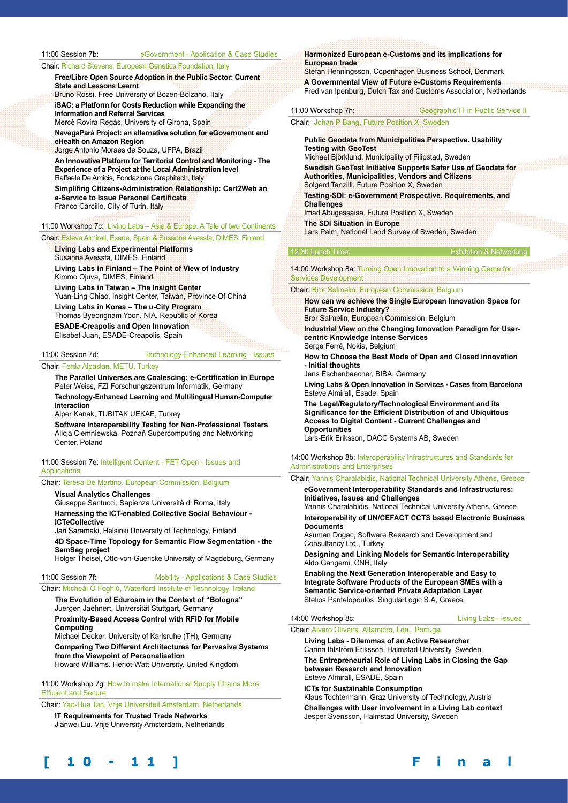11:00 Session 7b: eGovernment - Application & Case Studies

Chair: Richard Stevens, European Genetics Foundation, Italy

**Free/Libre Open Source Adoption in the Public Sector: Current State and Lessons Learnt**  Bruno Rossi, Free University of Bozen-Bolzano, Italy

**iSAC: a Platform for Costs Reduction while Expanding the Information and Referral Services**  Mercè Rovira Regàs, University of Girona, Spain

**NavegaPará Project: an alternative solution for eGovernment and eHealth on Amazon Region** 

Jorge Antonio Moraes de Souza, UFPA, Brazil

**An Innovative Platform for Territorial Control and Monitoring - The Experience of a Project at the Local Administration level**  Raffaele De Amicis, Fondazione Graphitech, Italy

**Simplifing Citizens-Administration Relationship: Cert2Web an e-Service to Issue Personal Certificate**  Franco Carcillo, City of Turin, Italy

# 11:00 Workshop 7c: Living Labs – Asia & Europe. A Tale of two Continents

#### Chair: Esteve Almirall, Esade, Spain & Susanna Avessta, DIMES, Finland

**Living Labs and Experimental Platforms**  Susanna Avessta, DIMES, Finland

**Living Labs in Finland – The Point of View of Industry** Kimmo Ojuva, DIMES, Finland **Living Labs in Taiwan – The Insight Center**  Yuan-Ling Chiao, Insight Center, Taiwan, Province Of China **Living Labs in Korea – The u-City Program**  Thomas Byeongnam Yoon, NIA, Republic of Korea

**ESADE-Creapolis and Open Innovation**  Elisabet Juan, ESADE-Creapolis, Spain

#### 11:00 Session 7d: Technology-Enhanced Learning - Issues

#### Chair: Ferda Alpaslan, METU, Turkey

**The Parallel Universes are Coalescing: e-Certification in Europe**  Peter Weiss, FZI Forschungszentrum Informatik, Germany **Technology-Enhanced Learning and Multilingual Human-Computer Interaction**

Alper Kanak, TUBITAK UEKAE, Turkey

**Software Interoperability Testing for Non-Professional Testers**  Alicja Ciemniewska, Poznań Supercomputing and Networking Center, Poland

#### 11:00 Session 7e: Intelligent Content - FET Open - Issues and **Applications**

Chair: Teresa De Martino, European Commission, Belgium

**Visual Analytics Challenges** 

Giuseppe Santucci, Sapienza Università di Roma, Italy **Harnessing the ICT-enabled Collective Social Behaviour -** 

**ICTeCollective** 

Jari Saramaki, Helsinki University of Technology, Finland

**4D Space-Time Topology for Semantic Flow Segmentation - the SemSeg project** 

Holger Theisel, Otto-von-Guericke University of Magdeburg, Germany

11:00 Session 7f: Mobility - Applications & Case Studies

#### Chair: Mícheál Ó Foghlú, Waterford Institute of Technology, Ireland

**The Evolution of Eduroam in the Context of "Bologna"**  Juergen Jaehnert, Universität Stuttgart, Germany **Proximity-Based Access Control with RFID for Mobile Computing** 

Michael Decker, University of Karlsruhe (TH), Germany **Comparing Two Different Architectures for Pervasive Systems from the Viewpoint of Personalisation** 

Howard Williams, Heriot-Watt University, United Kingdom

11:00 Workshop 7g: How to make International Supply Chains More Efficient and Secure

Chair: Yao-Hua Tan, Vrije Universiteit Amsterdam, Netherlands **IT Requirements for Trusted Trade Networks** 

Jianwei Liu, Vrije University Amsterdam, Netherlands

#### **Harmonized European e-Customs and its implications for European trade**

Stefan Henningsson, Copenhagen Business School, Denmark **A Governmental View of Future e-Customs Requirements** Fred van Ipenburg, Dutch Tax and Customs Association, Netherlands

11:00 Workshop 7h: Geographic IT in Public Service II

#### Chair: Johan P Bang, Future Position X, Sweden

**Public Geodata from Municipalities Perspective. Usability Testing with GeoTest** 

Michael Björklund, Municipality of Filipstad, Sweden **Swedish GeoTest Initiative Supports Safer Use of Geodata for Authorities, Municipalities, Vendors and Citizens**  Solgerd Tanzilli, Future Position X, Sweden

**Testing-SDI: e-Government Prospective, Requirements, and Challenges** 

Imad Abugessaisa, Future Position X, Sweden **The SDI Situation in Europe** 

Lars Palm, National Land Survey of Sweden, Sweden

#### 12:30 Lunch Time: Exhibition & Networking

14:00 Workshop 8a: Turning Open Innovation to a Winning Game for Services Development

#### Chair: Bror Salmelin, European Commission, Belgium

**How can we achieve the Single European Innovation Space for Future Service Industry?** 

Bror Salmelin, European Commission, Belgium

**Industrial View on the Changing Innovation Paradigm for Usercentric Knowledge Intense Services**  Serge Ferré, Nokia, Belgium

**How to Choose the Best Mode of Open and Closed innovation - Initial thoughts** 

Jens Eschenbaecher, BIBA, Germany

**Living Labs & Open Innovation in Services - Cases from Barcelona**  Esteve Almirall, Esade, Spain

**The Legal/Regulatory/Technological Environment and its Significance for the Efficient Distribution of and Ubiquitous Access to Digital Content - Current Challenges and Opportunities** 

Lars-Erik Eriksson, DACC Systems AB, Sweden

#### 14:00 Workshop 8b: Interoperability Infrastructures and Standards for Administrations and Enterprises

Chair: Yannis Charalabidis, National Technical University Athens, Greece

**eGovernment Interoperability Standards and Infrastructures: Initiatives, Issues and Challenges** 

Yannis Charalabidis, National Technical University Athens, Greece **Interoperability of UN/CEFACT CCTS based Electronic Business Documents** 

Asuman Dogac, Software Research and Development and Consultancy Ltd., Turkey

**Designing and Linking Models for Semantic Interoperability**  Aldo Gangemi, CNR, Italy

**Enabling the Next Generation Interoperable and Easy to Integrate Software Products of the European SMEs with a Semantic Service-oriented Private Adaptation Layer**  Stelios Pantelopoulos, SingularLogic S.A, Greece

#### 14:00 Workshop 8c: Living Labs - Issues

Chair: Alvaro Oliveira, Alfamicro, Lda., Portugal

**Living Labs - Dilemmas of an Active Researcher**  Carina Ihlström Eriksson, Halmstad University, Sweden

**The Entrepreneurial Role of Living Labs in Closing the Gap between Research and Innovation**  Esteve Almirall, ESADE, Spain

**ICTs for Sustainable Consumption**  Klaus Tochtermann, Graz University of Technology, Austria **Challenges with User involvement in a Living Lab context**  Jesper Svensson, Halmstad University, Sweden

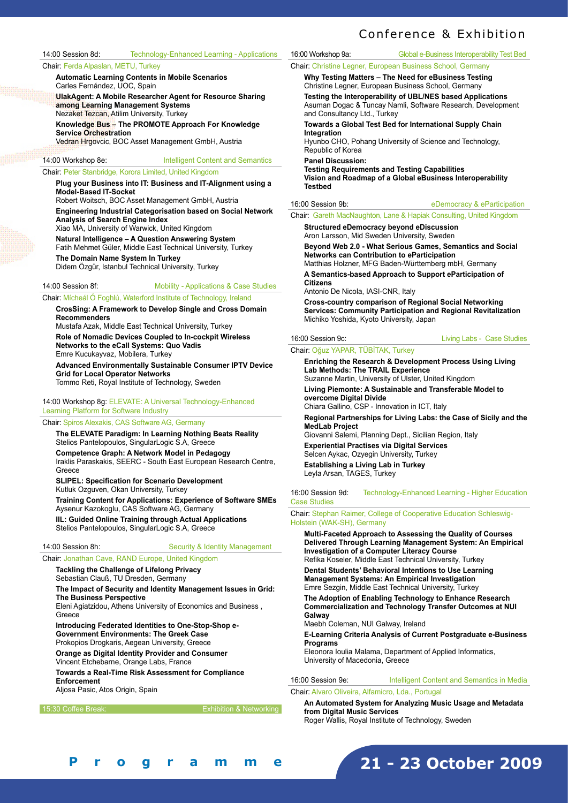14:00 Session 8d: Technology-Enhanced Learning - Applications

#### Chair: Ferda Alpaslan, METU, Turkey

**Automatic Learning Contents in Mobile Scenarios**  Carles Fernández, UOC, Spain

**UlakAgent: A Mobile Researcher Agent for Resource Sharing among Learning Management Systems**  Nezaket Tezcan, Atilim University, Turkey

**Knowledge Bus – The PROMOTE Approach For Knowledge Service Orchestration** 

Vedran Hrgovcic, BOC Asset Management GmbH, Austria

14:00 Workshop 8e: Intelligent Content and Semantics

#### Chair: Peter Stanbridge, Korora Limited, United Kingdom

**Plug your Business into IT: Business and IT-Alignment using a Model-Based IT-Socket** 

Robert Woitsch, BOC Asset Management GmbH, Austria

**Engineering Industrial Categorisation based on Social Network Analysis of Search Engine Index** 

Xiao MA, University of Warwick, United Kingdom

**Natural Intelligence – A Question Answering System**  Fatih Mehmet Güler, Middle East Technical University, Turkey

**The Domain Name System In Turkey** 

Didem Özgür, Istanbul Technical University, Turkey

## 14:00 Session 8f: Mobility - Applications & Case Studies

Chair: Mícheál Ó Foghlú, Waterford Institute of Technology, Ireland

**CrosSing: A Framework to Develop Single and Cross Domain Recommenders** 

Mustafa Azak, Middle East Technical University, Turkey **Role of Nomadic Devices Coupled to In-cockpit Wireless Networks to the eCall Systems: Quo Vadis**  Emre Kucukayvaz, Mobilera, Turkey

**Advanced Environmentally Sustainable Consumer IPTV Device Grid for Local Operator Networks**  Tommo Reti, Royal Institute of Technology, Sweden

14:00 Workshop 8g: ELEVATE: A Universal Technology-Enhanced Learning Platform for Software Industry

#### Chair: Spiros Alexakis, CAS Software AG, Germany

**The ELEVATE Paradigm: In Learning Nothing Beats Reality**  Stelios Pantelopoulos, SingularLogic S.A, Greece **Competence Graph: A Network Model in Pedagogy**  Iraklis Paraskakis, SEERC - South East European Research Centre, Greece **SLIPEL: Specification for Scenario Development** 

Kutluk Ozguven, Okan University, Turkey

**Training Content for Applications: Experience of Software SMEs**  Aysenur Kazokoglu, CAS Software AG, Germany **IIL: Guided Online Training through Actual Applications** 

Stelios Pantelopoulos, SingularLogic S.A, Greece

14:00 Session 8h: Security & Identity Management

## Chair: Jonathan Cave, RAND Europe, United Kingdom

**Tackling the Challenge of Lifelong Privacy**  Sebastian Clauß, TU Dresden, Germany

**The Impact of Security and Identity Management Issues in Grid: The Business Perspective** 

Eleni Agiatzidou, Athens University of Economics and Business , Greece

**Introducing Federated Identities to One-Stop-Shop e-Government Environments: The Greek Case**  Prokopios Drogkaris, Aegean University, Greece

**Orange as Digital Identity Provider and Consumer** 

Vincent Etchebarne, Orange Labs, France

**Towards a Real-Time Risk Assessment for Compliance Enforcement** 

Aljosa Pasic, Atos Origin, Spain

15:30 Coffee Break: Exhibition & Networking

16:00 Workshop 9a: Global e-Business Interoperability Test Bed

Chair: Christine Legner, European Business School, Germany

**Why Testing Matters – The Need for eBusiness Testing**  Christine Legner, European Business School, Germany

**Testing the Interoperability of UBL/NES based Applications**  Asuman Dogac & Tuncay Namli, Software Research, Development and Consultancy Ltd., Turkey

**Towards a Global Test Bed for International Supply Chain Integration** 

Hyunbo CHO, Pohang University of Science and Technology, Republic of Korea

**Panel Discussion:**

**Testing Requirements and Testing Capabilities Vision and Roadmap of a Global eBusiness Interoperability Testbed**

16:00 Session 9b: eDemocracy & eParticipation

#### Chair: Gareth MacNaughton, Lane & Hapiak Consulting, United Kingdom

**Structured eDemocracy beyond eDiscussion**  Aron Larsson, Mid Sweden University, Sweden

**Beyond Web 2.0 - What Serious Games, Semantics and Social Networks can Contribution to eParticipation** 

Matthias Holzner, MFG Baden-Württemberg mbH, Germany **A Semantics-based Approach to Support eParticipation of** 

**Citizens** 

Antonio De Nicola, IASI-CNR, Italy

**Cross-country comparison of Regional Social Networking Services: Community Participation and Regional Revitalization**  Michiko Yoshida, Kyoto University, Japan

#### 16:00 Session 9c: Living Labs - Case Studies

Chair: Oğuz YAPAR, TÜBİTAK, Turkey

**Enriching the Research & Development Process Using Living Lab Methods: The TRAIL Experience**  Suzanne Martin, University of Ulster, United Kingdom

**Living Piemonte: A Sustainable and Transferable Model to overcome Digital Divide** 

Chiara Gallino, CSP - Innovation in ICT, Italy

**Regional Partnerships for Living Labs: the Case of Sicily and the MedLab Project** 

Giovanni Salemi, Planning Dept., Sicilian Region, Italy

**Experiential Practises via Digital Services**  Selcen Aykac, Ozyegin University, Turkey

**Establishing a Living Lab in Turkey** Leyla Arsan, TAGES, Turkey

16:00 Session 9d: Technology-Enhanced Learning - Higher Education Case Studies

Chair: Stephan Raimer, College of Cooperative Education Schleswig-Holstein (WAK-SH), Germany

**Multi-Faceted Approach to Assessing the Quality of Courses Delivered Through Learning Management System: An Empirical Investigation of a Computer Literacy Course**  Refika Koseler, Middle East Technical University, Turkey

**Dental Students' Behavioral Intentions to Use Learning Management Systems: An Empirical Investigation**  Emre Sezgin, Middle East Technical University, Turkey

**The Adoption of Enabling Technology to Enhance Research Commercialization and Technology Transfer Outcomes at NUI Galway** 

Maebh Coleman, NUI Galway, Ireland

**E-Learning Criteria Analysis of Current Postgraduate e-Business Programs** 

Eleonora Ioulia Malama, Department of Applied Informatics, University of Macedonia, Greece

16:00 Session 9e: Intelligent Content and Semantics in Media

#### Chair: Alvaro Oliveira, Alfamicro, Lda., Portugal

**An Automated System for Analyzing Music Usage and Metadata from Digital Music Services**  Roger Wallis, Royal Institute of Technology, Sweden

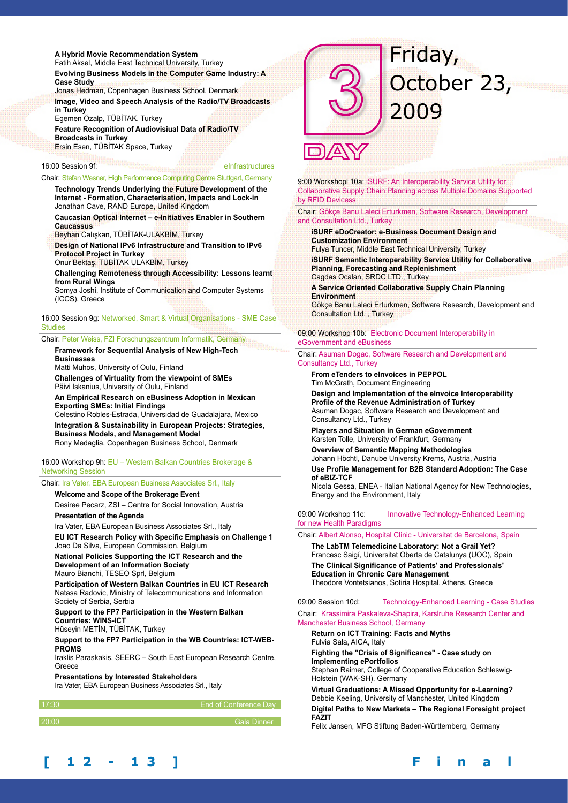#### **A Hybrid Movie Recommendation System**

Fatih Aksel, Middle East Technical University, Turkey **Evolving Business Models in the Computer Game Industry: A Case Study** 

Jonas Hedman, Copenhagen Business School, Denmark **Image, Video and Speech Analysis of the Radio/TV Broadcasts in Turkey** 

Egemen Özalp, TÜBİTAK, Turkey **Feature Recognition of Audiovisiual Data of Radio/TV Broadcasts in Turkey**  Ersin Esen, TÜBİTAK Space, Turkey

# 16:00 Session 9f: **EXAMPLE 2018** Primary Property 16:00 Session 9f:

Chair: Stefan Wesner, High Performance Computing Centre Stuttgart, Germany

**Technology Trends Underlying the Future Development of the Internet - Formation, Characterisation, Impacts and Lock-in**  Jonathan Cave, RAND Europe, United Kingdom

**Caucasian Optical Internet – e-Initiatives Enabler in Southern Caucassus** 

Beyhan Calışkan, TÜBİTAK-ULAKBİM, Turkey

**Design of National IPv6 Infrastructure and Transition to IPv6 Protocol Project in Turkey** 

Onur Bektaş, TÜBİTAK ULAKBİM, Turkey

**Challenging Remoteness through Accessibility: Lessons learnt from Rural Wings** 

Somya Joshi, Institute of Communication and Computer Systems (ICCS), Greece

16:00 Session 9g: Networked, Smart & Virtual Organisations - SME Case **Studies** 

Chair: Peter Weiss, FZI Forschungszentrum Informatik, Germany

#### **Framework for Sequential Analysis of New High-Tech Businesses**

Matti Muhos, University of Oulu, Finland

**Challenges of Virtuality from the viewpoint of SMEs**  Päivi Iskanius, University of Oulu, Finland

**An Empirical Research on eBusiness Adoption in Mexican** 

**Exporting SMEs: Initial Findings**  Celestino Robles-Estrada, Universidad de Guadalajara, Mexico **Integration & Sustainability in European Projects: Strategies, Business Models, and Management Model**  Rony Medaglia, Copenhagen Business School, Denmark

16:00 Workshop 9h: EU – Western Balkan Countries Brokerage & Networking Session

Chair: Ira Vater, EBA European Business Associates Srl., Italy

#### **Welcome and Scope of the Brokerage Event**

Desiree Pecarz, ZSI – Centre for Social Innovation, Austria **Presentation of the Agenda** 

Ira Vater, EBA European Business Associates Srl., Italy

**EU ICT Research Policy with Specific Emphasis on Challenge 1**  Joao Da Silva, European Commission, Belgium

**National Policies Supporting the ICT Research and the Development of an Information Society**  Mauro Bianchi, TESEO Sprl, Belgium

**Participation of Western Balkan Countries in EU ICT Research**  Natasa Radovic, Ministry of Telecommunications and Information Society of Serbia, Serbia

#### **Support to the FP7 Participation in the Western Balkan Countries: WINS-ICT**

Hüseyin METİN, TÜBİTAK, Turkey

**Support to the FP7 Participation in the WB Countries: ICT-WEB-PROMS** 

Iraklis Paraskakis, SEERC – South East European Research Centre, Greece

**Presentations by Interested Stakeholders** 

Ira Vater, EBA European Business Associates Srl., Italy

| 17:30 | End of Conference Day |
|-------|-----------------------|
| 20:00 | <b>Gala Dinner</b>    |
|       |                       |



2009

October 23,

Friday,

9:00 Workshopl 10a: iSURF: An Interoperability Service Utility for Collaborative Supply Chain Planning across Multiple Domains Supported by RFID Devicess

Chair: Gökçe Banu Laleci Erturkmen, Software Research, Development and Consultation Ltd., Turkey

**iSURF eDoCreator: e-Business Document Design and Customization Environment**  Fulya Tuncer, Middle East Technical University, Turkey

**iSURF Semantic Interoperability Service Utility for Collaborative Planning, Forecasting and Replenishment**  Cagdas Ocalan, SRDC LTD., Turkey

**A Service Oriented Collaborative Supply Chain Planning Environment**  Gökçe Banu Laleci Erturkmen, Software Research, Development and Consultation Ltd. , Turkey

09:00 Workshop 10b: Electronic Document Interoperability in eGovernment and eBusiness

Chair: Asuman Dogac, Software Research and Development and Consultancy Ltd., Turkey

**From eTenders to eInvoices in PEPPOL** Tim McGrath, Document Engineering

**Design and Implementation of the eInvoice Interoperability Profile of the Revenue Administration of Turkey**  Asuman Dogac, Software Research and Development and Consultancy Ltd., Turkey

**Players and Situation in German eGovernment**  Karsten Tolle, University of Frankfurt, Germany

**Overview of Semantic Mapping Methodologies**  Johann Höchtl, Danube University Krems, Austria, Austria **Use Profile Management for B2B Standard Adoption: The Case of eBIZ-TCF** 

Nicola Gessa, ENEA - Italian National Agency for New Technologies, Energy and the Environment, Italy

#### 09:00 Workshop 11c: Innovative Technology-Enhanced Learning for new Health Paradigms

Chair: Albert Alonso, Hospital Clinic - Universitat de Barcelona, Spain

**The LabTM Telemedicine Laboratory: Not a Grail Yet?**  Francesc Saigí, Universitat Oberta de Catalunya (UOC), Spain **The Clinical Significance of Patients' and Professionals' Education in Chronic Care Management** Theodore Vontetsianos, Sotiria Hospital, Athens, Greece

09:00 Session 10d: Technology-Enhanced Learning - Case Studies Chair: Krassimira Paskaleva-Shapira, Karslruhe Research Center and Manchester Business School, Germany

**Return on ICT Training: Facts and Myths**  Fulvia Sala, AICA, Italy **Fighting the "Crisis of Significance" - Case study on Implementing ePortfolios**  Stephan Raimer, College of Cooperative Education Schleswig-Holstein (WAK-SH), Germany

**Virtual Graduations: A Missed Opportunity for e-Learning?**  Debbie Keeling, University of Manchester, United Kingdom **Digital Paths to New Markets – The Regional Foresight project FAZIT** 

Felix Jansen, MFG Stiftung Baden-Württemberg, Germany

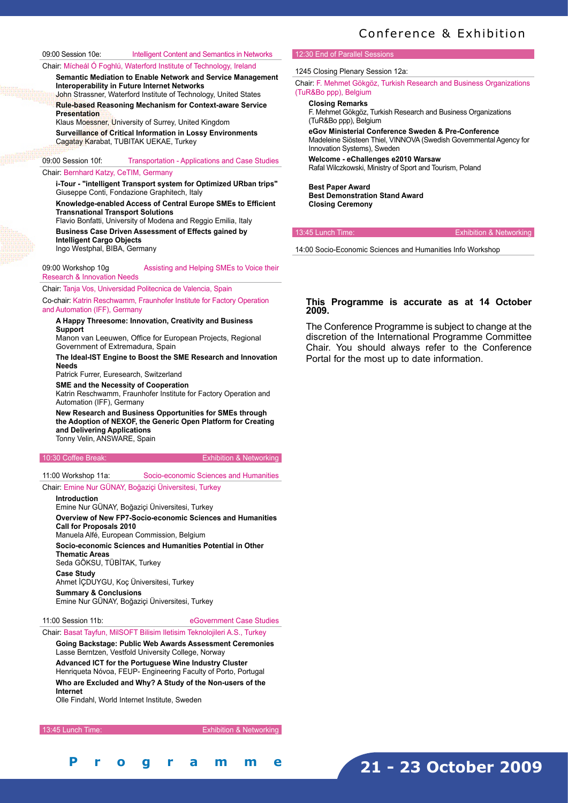09:00 Session 10e: Intelligent Content and Semantics in Networks

Chair: Mícheál Ó Foghlú, Waterford Institute of Technology, Ireland

**Semantic Mediation to Enable Network and Service Management Interoperability in Future Internet Networks**  John Strassner, Waterford Institute of Technology, United States **Rule-based Reasoning Mechanism for Context-aware Service** 

**Presentation**  Klaus Moessner, University of Surrey, United Kingdom **Surveillance of Critical Information in Lossy Environments**  Cagatay Karabat, TUBITAK UEKAE, Turkey

# 09:00 Session 10f: Transportation - Applications and Case Studies

#### Chair: Bernhard Katzy, CeTIM, Germany

**i-Tour - "intelligent Transport system for Optimized URban trips"**  Giuseppe Conti, Fondazione Graphitech, Italy

**Knowledge-enabled Access of Central Europe SMEs to Efficient Transnational Transport Solutions**  Flavio Bonfatti, University of Modena and Reggio Emilia, Italy

**Business Case Driven Assessment of Effects gained by Intelligent Cargo Objects**  Ingo Westphal, BIBA, Germany

09:00 Workshop 10g **Assisting and Helping SMEs to Voice their** Research & Innovation Needs

Chair: Tanja Vos, Universidad Politecnica de Valencia, Spain

Co-chair: Katrin Reschwamm, Fraunhofer Institute for Factory Operation and Automation (IFF), Germany

#### **A Happy Threesome: Innovation, Creativity and Business Support**

Manon van Leeuwen, Office for European Projects, Regional Government of Extremadura, Spain

**The Ideal-IST Engine to Boost the SME Research and Innovation Needs** 

Patrick Furrer, Euresearch, Switzerland

**SME and the Necessity of Cooperation**  Katrin Reschwamm, Fraunhofer Institute for Factory Operation and Automation (IFF), Germany

**New Research and Business Opportunities for SMEs through the Adoption of NEXOF, the Generic Open Platform for Creating and Delivering Applications**  Tonny Velin, ANSWARE, Spain

10:30 Coffee Break: Exhibition & Networking

11:00 Workshop 11a: Socio-economic Sciences and Humanities

### Chair: Emine Nur GÜNAY, Boğaziçi Üniversitesi, Turkey

#### **Introduction**

Emine Nur GÜNAY, Boğaziçi Üniversitesi, Turkey **Overview of New FP7-Socio-economic Sciences and Humanities Call for Proposals 2010**  Manuela Alfé, European Commission, Belgium **Socio-economic Sciences and Humanities Potential in Other Thematic Areas**  Seda GÖKSU, TÜBİTAK, Turkey **Case Study**  Ahmet İÇDUYGU, Koç Üniversitesi, Turkey **Summary & Conclusions**  Emine Nur GÜNAY, Boğaziçi Üniversitesi, Turkey

**[ 1 2 - 1 3 ] F i n a l P r o g r a m m e**

11:00 Session 11b: eGovernment Case Studies

Chair: Basat Tayfun, MilSOFT Bilisim Iletisim Teknolojileri A.S., Turkey **Going Backstage: Public Web Awards Assessment Ceremonies**  Lasse Berntzen, Vestfold University College, Norway **Advanced ICT for the Portuguese Wine Industry Cluster**  Henriqueta Nóvoa, FEUP- Engineering Faculty of Porto, Portugal **Who are Excluded and Why? A Study of the Non-users of the Internet** 

Olle Findahl, World Internet Institute, Sweden

13:45 Lunch Time: Exhibition & Networking

### 12:30 End of Parallel Se

1245 Closing Plenary Session 12a:

Chair: F. Mehmet Gökgöz, Turkish Research and Business Organizations (TuR&Bo ppp), Belgium

#### **Closing Remarks**

F. Mehmet Gökgöz, Turkish Research and Business Organizations (TuR&Bo ppp), Belgium

**eGov Ministerial Conference Sweden & Pre-Conference**  Madeleine Siösteen Thiel, VINNOVA (Swedish Governmental Agency for Innovation Systems), Sweden

**Welcome - eChallenges e2010 Warsaw**  Rafal Wilczkowski, Ministry of Sport and Tourism, Poland

**Best Paper Award Best Demonstration Stand Award Closing Ceremony**

13:45 Lunch Time: Exhibition & Networking

14:00 Socio-Economic Sciences and Humanities Info Workshop

#### **This Programme is accurate as at 14 October 2009.**

The Conference Programme is subject to change at the discretion of the International Programme Committee Chair. You should always refer to the Conference Portal for the most up to date information.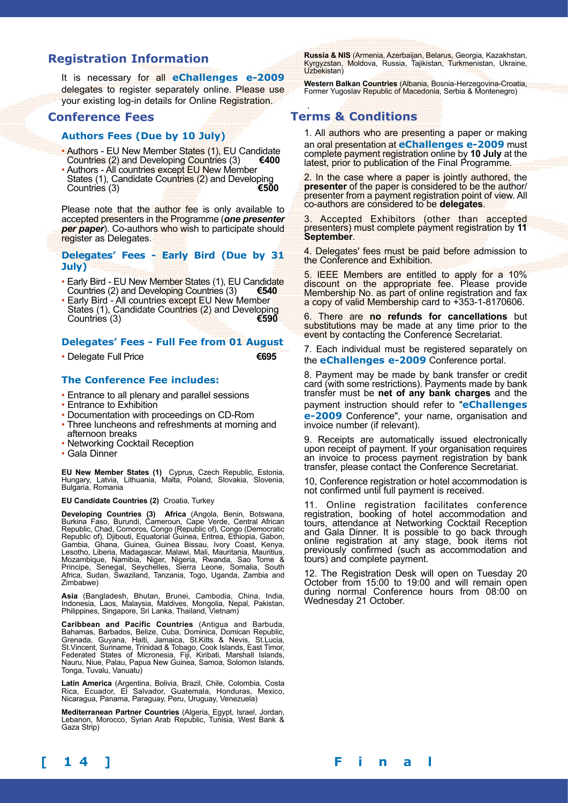# **Registration Information**

It is necessary for all **eChallenges e-2009** delegates to register separately online. Please use your existing log-in details for Online Registration.

# **Conference Fees**

## **Authors Fees (Due by 10 July)**

- Authors EU New Member States (1), EU Candidate<br>Countries (2) and Developing Countries (3) Countries (2) and Developing Countries (3)
- Authors All countries except EU New Member States (1), Candidate Countries (2) and Developing<br>Countries (3) Countries (3)

Please note that the author fee is only available to accepted presenters in the Programme (*one presenter per paper*). Co-authors who wish to participate should register as Delegates.

#### **Delegates' Fees - Early Bird (Due by 31 July)**

- Early Bird EU New Member States (1), EU Candidate Countries (2) and Developing Countries (3) Countries (2) and Developing Countries (3)
- Early Bird All countries except EU New Member States (1), Candidate Countries (2) and Developing<br>Countries (3) Countries<sup>(3)</sup>

## **Delegates' Fees - Full Fee from 01 August**

• Delegate Full Price **€695**

## **The Conference Fee includes:**

- Entrance to all plenary and parallel sessions
- Entrance to Exhibition
- Documentation with proceedings on CD-Rom
- Three luncheons and refreshments at morning and afternoon breaks
- Networking Cocktail Reception
- Gala Dinner

**EU New Member States (1)** Cyprus, Czech Republic, Estonia, Hungary, Latvia, Lithuania, Malta, Poland, Slovakia, Slovenia, Bulgaria, Romania

#### **EU Candidate Countries (2)** Croatia, Turkey

**Developing Countries (3) Africa** (Angola, Benin, Botswana, Burkina Faso, Burundi, Cameroun, Cape Verde, Central African Republic, Chad, Comoros, Congo (Republic of), Congo (Democratic Republic of), Djibouti, Equatorial Guinea, Eritrea, Ethiopia, Gabon, Gambia, Ghana, Guinea, Guinea Bissau, Ivory Coast, Kenya, Lesotho, Liberia, Madagascar, Malawi, Mali, Mauritania, Mauritius, Mozambique, Namibia, Niger, Nigeria, Rwanda, Sao Tome & Principe, Senegal, Seychelles, Sierra Leone, Somalia, South Africa, Sudan, Swaziland, Tanzania, Togo, Uganda, Zambia and Zimbabwe)

**Asia** (Bangladesh, Bhutan, Brunei, Cambodia, China, India, Indonesia, Laos, Malaysia, Maldives, Mongolia, Nepal, Pakistan, Philippines, Singapore, Sri Lanka, Thailand, Vietnam)

**Caribbean and Pacific Countries** (Antigua and Barbuda, Bahamas, Barbados, Belize, Cuba, Dominica, Domican Republic, Grenada, Guyana, Haiti, Jamaica, St.Kitts & Nevis, St.Lucia, St.Vincent, Suriname, Trinidad & Tobago, Cook Islands, East Timor, Federated States of Micronesia, Fiji, Kiribati, Marshall Islands, Nauru, Niue, Palau, Papua New Guinea, Samoa, Solomon Islands, Tonga, Tuvalu, Vanuatu)

**Latin America** (Argentina, Bolivia, Brazil, Chile, Colombia, Costa Rica, Ecuador, El Salvador, Guatemala, Honduras, Mexico, Nicaragua, Panama, Paraguay, Peru, Uruguay, Venezuela)

**Mediterranean Partner Countries** (Algeria, Egypt, Israel, Jordan, Lebanon, Morocco, Syrian Arab Republic, Tunisia, West Bank & Gaza Strip)

**Russia & NIS** (Armenia, Azerbaijan, Belarus, Georgia, Kazakhstan,<br>Kyrgyzstan, Moldova, Russia, Tajikistan, Turkmenistan, Ukraine, Uzbekistan)

**Western Balkan Countries** (Albania, Bosnia-Herzegovina-Croatia, Former Yugoslav Republic of Macedonia, Serbia & Montenegro)

## . **Terms & Conditions**

1. All authors who are presenting a paper or making an oral presentation at **eChallenges e-2009** must complete payment registration online by **10 July** at the latest, prior to publication of the Final Programme.

2. In the case where a paper is jointly authored, the **presenter** of the paper is considered to be the author/ presenter from a payment registration point of view. All co-authors are considered to be **delegates**.

3. Accepted Exhibitors (other than accepted presenters) must complete payment registration by **11 September**.

4. Delegates' fees must be paid before admission to the Conference and Exhibition.

5. IEEE Members are entitled to apply for a 10% discount on the appropriate fee. Please provide Membership No. as part of online registration and fax a copy of valid Membership card to +353-1-8170606.

6. There are **no refunds for cancellations** but substitutions may be made at any time prior to the event by contacting the Conference Secretariat.

7. Each individual must be registered separately on the **eChallenges e-2009** Conference portal.

8. Payment may be made by bank transfer or credit card (with some restrictions). Payments made by bank transfer must be **net of any bank charges** and the payment instruction should refer to "**eChallenges e-2009** Conference", your name, organisation and invoice number (if relevant).

9. Receipts are automatically issued electronically upon receipt of payment. If your organisation requires an invoice to process payment registration by bank transfer, please contact the Conference Secretariat.

10, Conference registration or hotel accommodation is not confirmed until full payment is received.

11. Online registration facilitates conference registration, booking of hotel accommodation and tours, attendance at Networking Cocktail Reception and Gala Dinner. It is possible to go back through online registration at any stage, book items not previously confirmed (such as accommodation and tours) and complete payment.

12. The Registration Desk will open on Tuesday 20 October from 15:00 to 19:00 and will remain open during normal Conference hours from 08:00 on Wednesday 21 October.